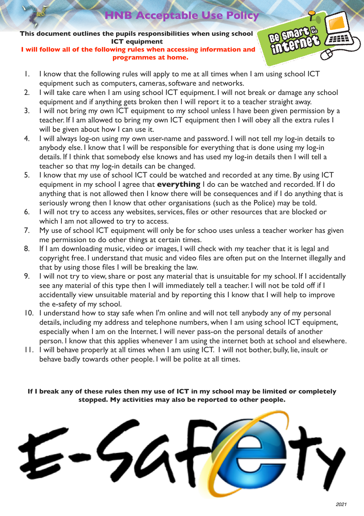**HB Acceptable Use Policy** 

**This document outlines the pupils responsibilities when using school ICT equipment**

**I will follow all of the following rules when accessing information and programmes at home.**



- 1. I know that the following rules will apply to me at all times when I am using school ICT equipment such as computers, cameras, software and networks.
- 2. I will take care when I am using school ICT equipment. I will not break or damage any school equipment and if anything gets broken then I will report it to a teacher straight away.
- 3. I will not bring my own ICT equipment to my school unless I have been given permission by a teacher. If I am allowed to bring my own ICT equipment then I will obey all the extra rules I will be given about how I can use it.
- 4. I will always log-on using my own user-name and password. I will not tell my log-in details to anybody else. I know that I will be responsible for everything that is done using my log-in details. If I think that somebody else knows and has used my log-in details then I will tell a teacher so that my log-in details can be changed.
- 5. I know that my use of school ICT could be watched and recorded at any time. By using ICT equipment in my school I agree that **everything** I do can be watched and recorded. If I do anything that is not allowed then I know there will be consequences and if I do anything that is seriously wrong then I know that other organisations (such as the Police) may be told.
- 6. I will not try to access any websites, services, files or other resources that are blocked or which I am not allowed to try to access.
- 7. My use of school ICT equipment will only be for schoo uses unless a teacher worker has given me permission to do other things at certain times.
- 8. If I am downloading music, video or images, I will check with my teacher that it is legal and copyright free. I understand that music and video files are often put on the Internet illegally and that by using those files I will be breaking the law.
- 9. I will not try to view, share or post any material that is unsuitable for my school. If I accidentally see any material of this type then I will immediately tell a teacher. I will not be told off if I accidentally view unsuitable material and by reporting this I know that I will help to improve the e-safety of my school.
- 10. I understand how to stay safe when I'm online and will not tell anybody any of my personal details, including my address and telephone numbers, when I am using school ICT equipment, especially when I am on the Internet. I will never pass-on the personal details of another person. I know that this applies whenever I am using the internet both at school and elsewhere.
- 11. I will behave properly at all times when I am using ICT. I will not bother, bully, lie, insult or behave badly towards other people. I will be polite at all times.

**If I break any of these rules then my use of ICT in my school may be limited or completely stopped. My activities may also be reported to other people.**